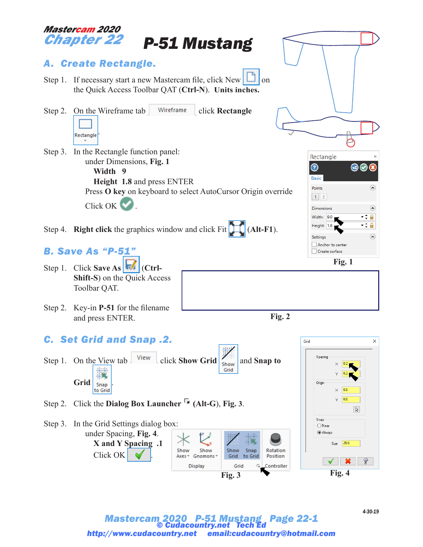

*Mastercam 2020 P-51 Mustang Page 22-1 © Cudacountry.net Tech Ed http://www.cudacountry.net email:cudacountry@hotmail.com* *4-30-19*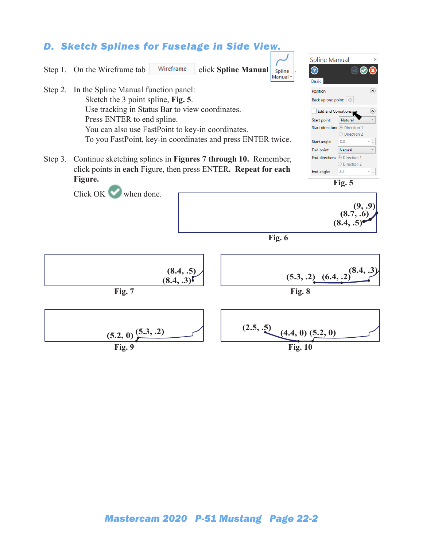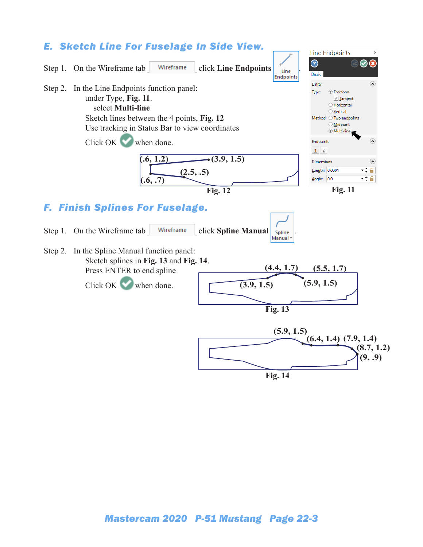

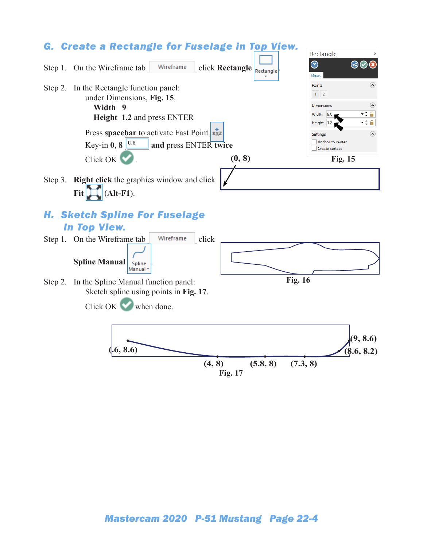

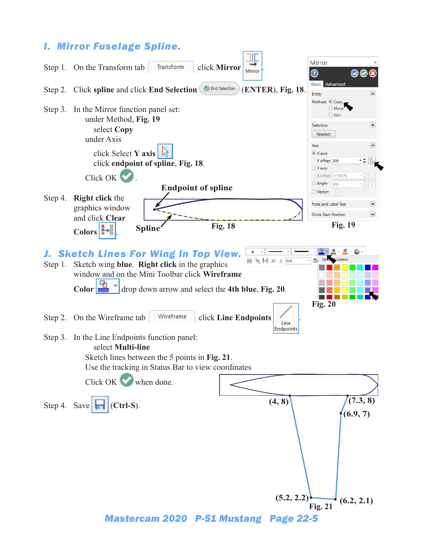## *I. Mirror Fuselage Spline.*



*Mastercam 2020 P-51 Mustang Page 22-5*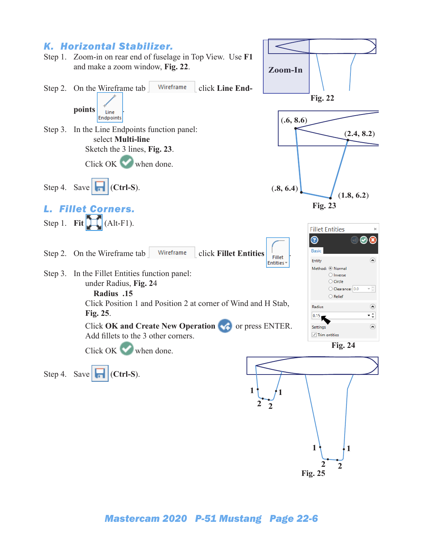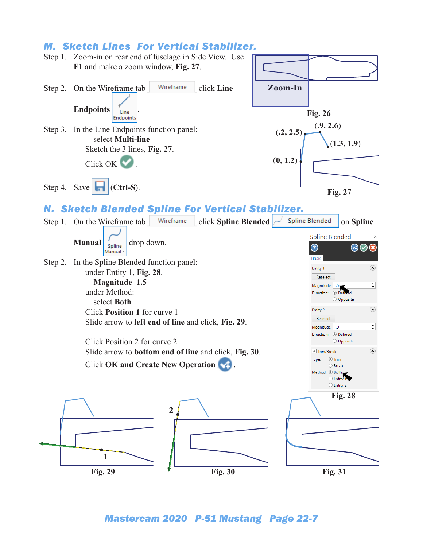## *M. Sketch Lines For Vertical Stabilizer.*

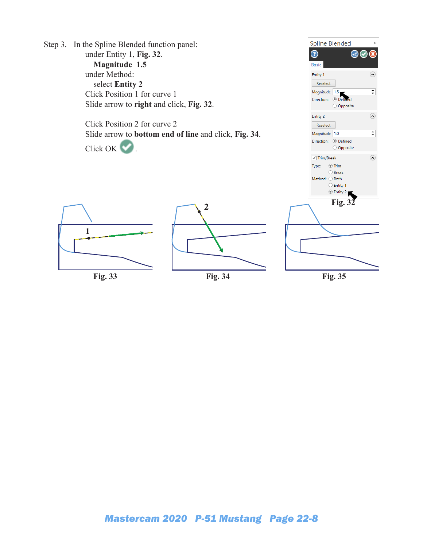Step 3. In the Spline Blended function panel: under Entity 1, **Fig. 32**. **Magnitude 1.5** under Method: select **Entity 2** Click Position 1 for curve 1 Slide arrow to **right** and click, **Fig. 32**.

> Click Position 2 for curve 2 Slide arrow to **bottom end of line** and click, **Fig. 34**.

Click OK ...







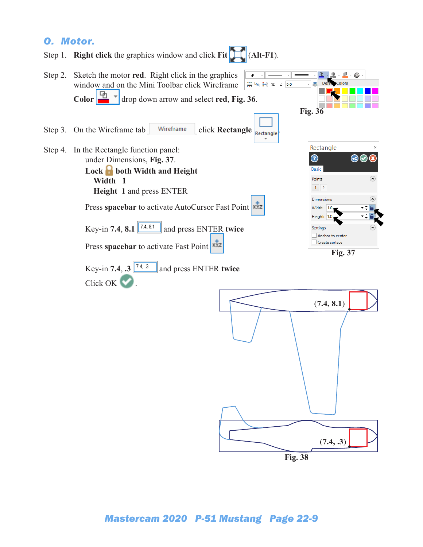## *O. Motor.*



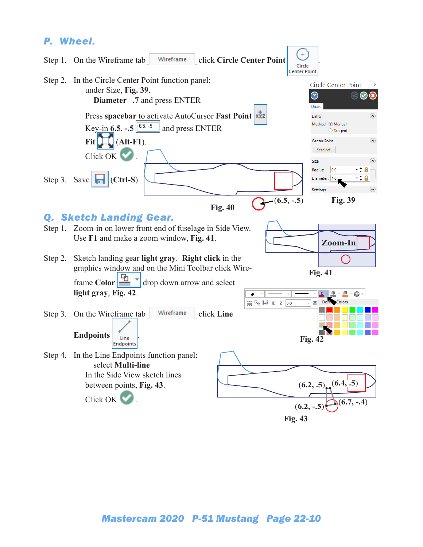## *P. Wheel.*

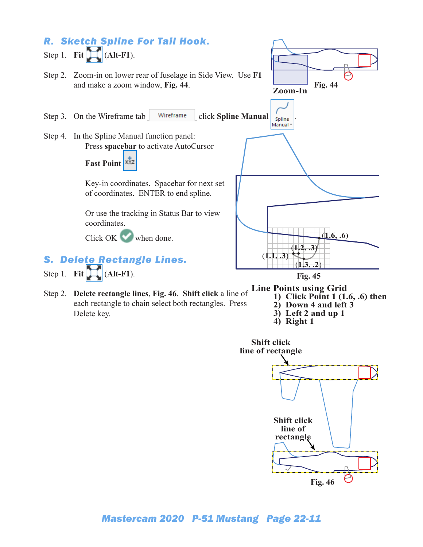

- Step 2. **Delete rectangle lines**, **Fig. 46**. **Shift click** a line of each rectangle to chain select both rectangles. Press Delete key.
- **1) Click Point 1 (1.6, .6) then**
- **2) Down 4 and left 3**
- **3) Left 2 and up 1**
- **4) Right 1**